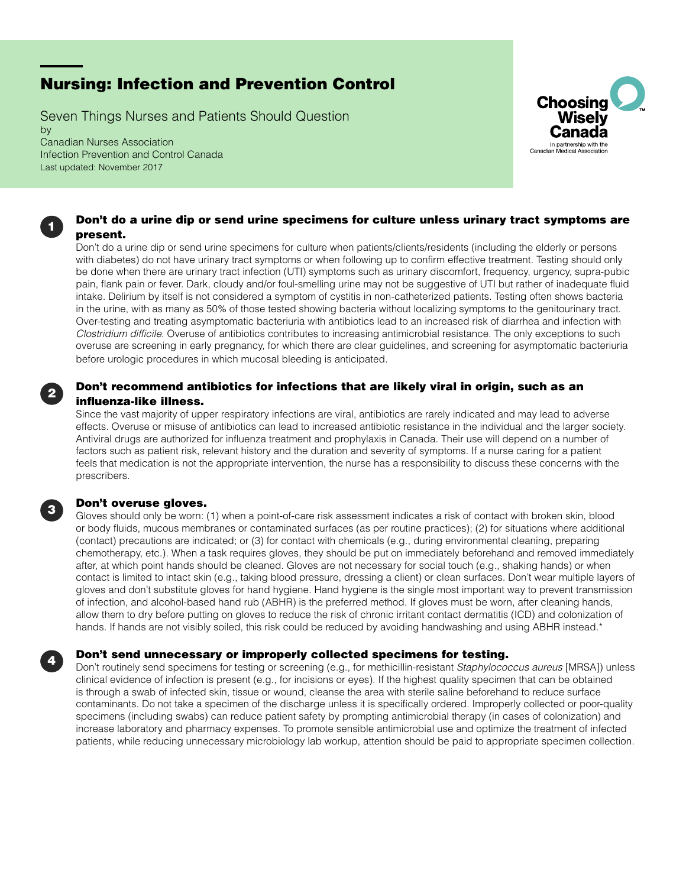# Nursing: Infection and Prevention Control

Seven Things Nurses and Patients Should Question by Canadian Nurses Association Infection Prevention and Control Canada Last updated: November 2017



# Don't do a urine dip or send urine specimens for culture unless urinary tract symptoms are present.

Don't do a urine dip or send urine specimens for culture when patients/clients/residents (including the elderly or persons with diabetes) do not have urinary tract symptoms or when following up to confirm effective treatment. Testing should only be done when there are urinary tract infection (UTI) symptoms such as urinary discomfort, frequency, urgency, supra-pubic pain, flank pain or fever. Dark, cloudy and/or foul-smelling urine may not be suggestive of UTI but rather of inadequate fluid intake. Delirium by itself is not considered a symptom of cystitis in non-catheterized patients. Testing often shows bacteria in the urine, with as many as 50% of those tested showing bacteria without localizing symptoms to the genitourinary tract. Over-testing and treating asymptomatic bacteriuria with antibiotics lead to an increased risk of diarrhea and infection with *Clostridium difficile*. Overuse of antibiotics contributes to increasing antimicrobial resistance. The only exceptions to such overuse are screening in early pregnancy, for which there are clear guidelines, and screening for asymptomatic bacteriuria before urologic procedures in which mucosal bleeding is anticipated.

# Don't recommend antibiotics for infections that are likely viral in origin, such as an influenza-like illness.

Since the vast majority of upper respiratory infections are viral, antibiotics are rarely indicated and may lead to adverse effects. Overuse or misuse of antibiotics can lead to increased antibiotic resistance in the individual and the larger society. Antiviral drugs are authorized for influenza treatment and prophylaxis in Canada. Their use will depend on a number of factors such as patient risk, relevant history and the duration and severity of symptoms. If a nurse caring for a patient feels that medication is not the appropriate intervention, the nurse has a responsibility to discuss these concerns with the prescribers.

### Don't overuse gloves.

1

2

3

4

Gloves should only be worn: (1) when a point-of-care risk assessment indicates a risk of contact with broken skin, blood or body fluids, mucous membranes or contaminated surfaces (as per routine practices); (2) for situations where additional (contact) precautions are indicated; or (3) for contact with chemicals (e.g., during environmental cleaning, preparing chemotherapy, etc.). When a task requires gloves, they should be put on immediately beforehand and removed immediately after, at which point hands should be cleaned. Gloves are not necessary for social touch (e.g., shaking hands) or when contact is limited to intact skin (e.g., taking blood pressure, dressing a client) or clean surfaces. Don't wear multiple layers of gloves and don't substitute gloves for hand hygiene. Hand hygiene is the single most important way to prevent transmission of infection, and alcohol-based hand rub (ABHR) is the preferred method. If gloves must be worn, after cleaning hands, allow them to dry before putting on gloves to reduce the risk of chronic irritant contact dermatitis (ICD) and colonization of hands. If hands are not visibly soiled, this risk could be reduced by avoiding handwashing and using ABHR instead.\*

### Don't send unnecessary or improperly collected specimens for testing.

Don't routinely send specimens for testing or screening (e.g., for methicillin-resistant *Staphylococcus aureus* [MRSA]) unless clinical evidence of infection is present (e.g., for incisions or eyes). If the highest quality specimen that can be obtained is through a swab of infected skin, tissue or wound, cleanse the area with sterile saline beforehand to reduce surface contaminants. Do not take a specimen of the discharge unless it is specifically ordered. Improperly collected or poor-quality specimens (including swabs) can reduce patient safety by prompting antimicrobial therapy (in cases of colonization) and increase laboratory and pharmacy expenses. To promote sensible antimicrobial use and optimize the treatment of infected patients, while reducing unnecessary microbiology lab workup, attention should be paid to appropriate specimen collection.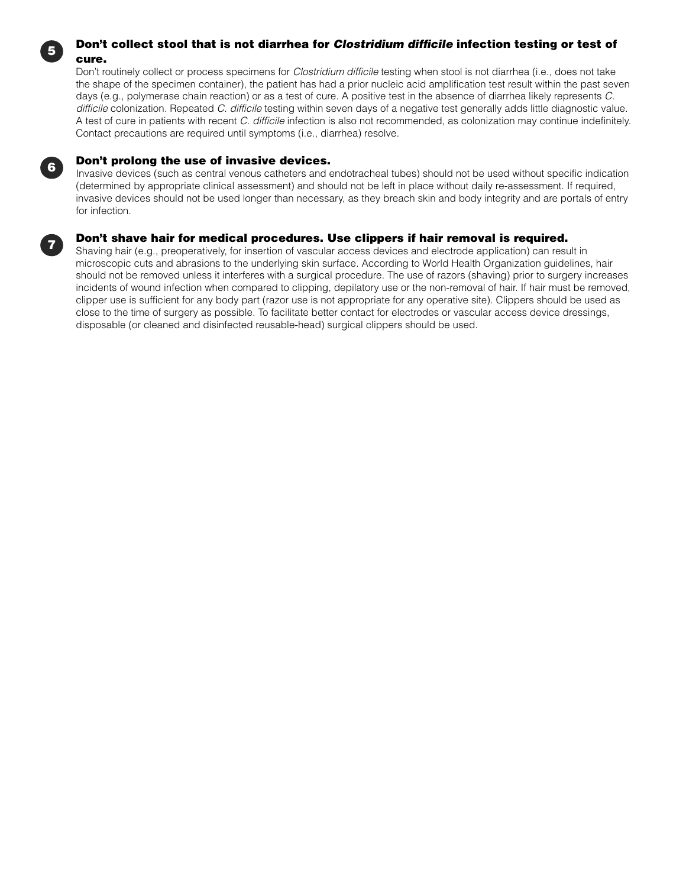# Don't collect stool that is not diarrhea for *Clostridium difficile* infection testing or test of cure.

Don't routinely collect or process specimens for *Clostridium difficile* testing when stool is not diarrhea (i.e., does not take the shape of the specimen container), the patient has had a prior nucleic acid amplification test result within the past seven days (e.g., polymerase chain reaction) or as a test of cure. A positive test in the absence of diarrhea likely represents *C. difficile* colonization. Repeated *C. difficile* testing within seven days of a negative test generally adds little diagnostic value. A test of cure in patients with recent *C. difficile* infection is also not recommended, as colonization may continue indefinitely. Contact precautions are required until symptoms (i.e., diarrhea) resolve.

### Don't prolong the use of invasive devices.

Invasive devices (such as central venous catheters and endotracheal tubes) should not be used without specific indication (determined by appropriate clinical assessment) and should not be left in place without daily re-assessment. If required, invasive devices should not be used longer than necessary, as they breach skin and body integrity and are portals of entry for infection.

# Don't shave hair for medical procedures. Use clippers if hair removal is required.

Shaving hair (e.g., preoperatively, for insertion of vascular access devices and electrode application) can result in microscopic cuts and abrasions to the underlying skin surface. According to World Health Organization guidelines, hair should not be removed unless it interferes with a surgical procedure. The use of razors (shaving) prior to surgery increases incidents of wound infection when compared to clipping, depilatory use or the non-removal of hair. If hair must be removed, clipper use is sufficient for any body part (razor use is not appropriate for any operative site). Clippers should be used as close to the time of surgery as possible. To facilitate better contact for electrodes or vascular access device dressings, disposable (or cleaned and disinfected reusable-head) surgical clippers should be used.

7

6

5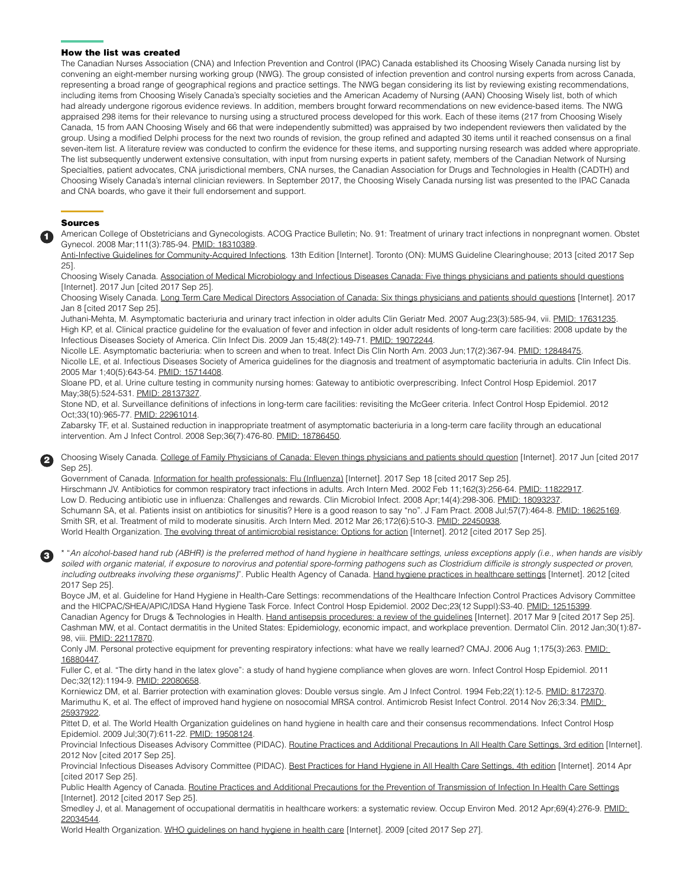#### How the list was created

The Canadian Nurses Association (CNA) and Infection Prevention and Control (IPAC) Canada established its Choosing Wisely Canada nursing list by convening an eight-member nursing working group (NWG). The group consisted of infection prevention and control nursing experts from across Canada, representing a broad range of geographical regions and practice settings. The NWG began considering its list by reviewing existing recommendations, including items from Choosing Wisely Canada's specialty societies and the American Academy of Nursing (AAN) Choosing Wisely list, both of which had already undergone rigorous evidence reviews. In addition, members brought forward recommendations on new evidence-based items. The NWG appraised 298 items for their relevance to nursing using a structured process developed for this work. Each of these items (217 from Choosing Wisely Canada, 15 from AAN Choosing Wisely and 66 that were independently submitted) was appraised by two independent reviewers then validated by the group. Using a modified Delphi process for the next two rounds of revision, the group refined and adapted 30 items until it reached consensus on a final seven-item list. A literature review was conducted to confirm the evidence for these items, and supporting nursing research was added where appropriate. The list subsequently underwent extensive consultation, with input from nursing experts in patient safety, members of the Canadian Network of Nursing Specialties, patient advocates, CNA jurisdictional members, CNA nurses, the Canadian Association for Drugs and Technologies in Health (CADTH) and Choosing Wisely Canada's internal clinician reviewers. In September 2017, the Choosing Wisely Canada nursing list was presented to the IPAC Canada and CNA boards, who gave it their full endorsement and support.

#### Sources

1

2

3

American College of Obstetricians and Gynecologists. ACOG Practice Bulletin; No. 91: Treatment of urinary tract infections in nonpregnant women. Obstet Gynecol. 2008 Mar;111(3):785-94. [PMID: 18310389.](https://www.ncbi.nlm.nih.gov/pubmed/18310389)

[Anti-Infective Guidelines for Community-Acquired Infections.](http://www.mumshealth.com/guidelinestools/anti-infective) 13th Edition [Internet]. Toronto (ON): MUMS Guideline Clearinghouse; 2013 [cited 2017 Sep 25].

Choosing Wisely Canada. [Association of Medical Microbiology and Infectious Diseases Canada: Five things physicians and patients should questions](https://choosingwiselycanada.org/infectious-disease/) [Internet]. 2017 Jun [cited 2017 Sep 25].

Choosing Wisely Canada. [Long Term Care Medical Directors Association of Canada: Six things physicians and patients should questions](https://choosingwiselycanada.org/long-term-care/) [Internet]. 2017 Jan 8 [cited 2017 Sep 25].

Juthani-Mehta, M. Asymptomatic bacteriuria and urinary tract infection in older adults Clin Geriatr Med. 2007 Aug;23(3):585-94, vii. [PMID: 17631235.](https://www.ncbi.nlm.nih.gov/pubmed/17631235) High KP, et al. Clinical practice guideline for the evaluation of fever and infection in older adult residents of long-term care facilities: 2008 update by the Infectious Diseases Society of America. Clin Infect Dis. 2009 Jan 15;48(2):149-71. [PMID: 19072244](https://www.ncbi.nlm.nih.gov/pubmed/19072244).

Nicolle LE. Asymptomatic bacteriuria: when to screen and when to treat. Infect Dis Clin North Am. 2003 Jun;17(2):367-94. [PMID: 12848475.](https://www.ncbi.nlm.nih.gov/pubmed/12848475) Nicolle LE, et al. Infectious Diseases Society of America guidelines for the diagnosis and treatment of asymptomatic bacteriuria in adults. Clin Infect Dis. 2005 Mar 1;40(5):643-54. [PMID: 15714408.](https://www.ncbi.nlm.nih.gov/pubmed/15714408)

Sloane PD, et al. Urine culture testing in community nursing homes: Gateway to antibiotic overprescribing. Infect Control Hosp Epidemiol. 2017 May;38(5):524-531. [PMID: 28137327.](https://www.ncbi.nlm.nih.gov/pubmed/28137327)

Stone ND, et al. Surveillance definitions of infections in long-term care facilities: revisiting the McGeer criteria. Infect Control Hosp Epidemiol. 2012 Oct;33(10):965-77. [PMID: 22961014.](https://www.ncbi.nlm.nih.gov/pubmed/22961014)

Zabarsky TF, et al. Sustained reduction in inappropriate treatment of asymptomatic bacteriuria in a long-term care facility through an educational intervention. Am J Infect Control. 2008 Sep;36(7):476-80. [PMID: 18786450.](https://www.ncbi.nlm.nih.gov/pubmed/18786450)

Choosing Wisely Canada. [College of Family Physicians of Canada: Eleven things physicians and patients should question](https://choosingwiselycanada.org/family-medicine/) [Internet]. 2017 Jun [cited 2017 Sep 25].

Government of Canada. [Information for health professionals: Flu \(Influenza\)](https://www.canada.ca/en/public-health/services/diseases/flu-influenza/health-professionals-flu-influenza.html) [Internet]. 2017 Sep 18 [cited 2017 Sep 25]. Hirschmann JV. Antibiotics for common respiratory tract infections in adults. Arch Intern Med. 2002 Feb 11;162(3):256-64. [PMID: 11822917](https://www.ncbi.nlm.nih.gov/pubmed/11822917). Low D. Reducing antibiotic use in influenza: Challenges and rewards. Clin Microbiol Infect. 2008 Apr;14(4):298-306. [PMID: 18093237](https://www.ncbi.nlm.nih.gov/pubmed/18093237). Schumann SA, et al. Patients insist on antibiotics for sinusitis? Here is a good reason to say "no". J Fam Pract. 2008 Jul;57(7):464-8. [PMID: 18625169.](https://www.ncbi.nlm.nih.gov/pubmed/18625169) Smith SR, et al. Treatment of mild to moderate sinusitis. Arch Intern Med. 2012 Mar 26;172(6):510-3. [PMID: 22450938](https://www.ncbi.nlm.nih.gov/pubmed/22450938). World Health Organization. [The evolving threat of antimicrobial resistance: Options for action](http://apps.who.int/iris/bitstream/10665/44812/1/9789241503181_eng.pdf) [Internet]. 2012 [cited 2017 Sep 25].

\* "*An alcohol-based hand rub (ABHR) is the preferred method of hand hygiene in healthcare settings, unless exceptions apply (i.e., when hands are visibly*  soiled with organic material, if exposure to norovirus and potential spore-forming pathogens such as Clostridium difficile is strongly suspected or proven, *including outbreaks involving these organisms)*". Public Health Agency of Canada. [Hand hygiene practices in healthcare settings](http://publications.gc.ca/collections/collection_2012/aspc-phac/HP40-74-2012-eng.pdf) [Internet]. 2012 [cited 2017 Sep 25].

Boyce JM, et al. Guideline for Hand Hygiene in Health-Care Settings: recommendations of the Healthcare Infection Control Practices Advisory Committee and the HICPAC/SHEA/APIC/IDSA Hand Hygiene Task Force. Infect Control Hosp Epidemiol. 2002 Dec;23(12 Suppl):S3-40. [PMID: 12515399](https://www.ncbi.nlm.nih.gov/pubmed/12515399). Canadian Agency for Drugs & Technologies in Health. [Hand antisepsis procedures: a review of the guidelines](https://www.cadth.ca/sites/default/files/pdf/htis/2017/RC0859%2520Hand%2520Antisepsis%2520Final.pdf) [Internet]. 2017 Mar 9 [cited 2017 Sep 25]. Cashman MW, et al. Contact dermatitis in the United States: Epidemiology, economic impact, and workplace prevention. Dermatol Clin. 2012 Jan;30(1):87- 98, viii. PMID: 22117870

Conly JM. Personal protective equipment for preventing respiratory infections: what have we really learned? CMAJ. 2006 Aug 1;175(3):263. PMID: [16880447.](https://www.ncbi.nlm.nih.gov/pubmed/16880447%20)

Fuller C, et al. "The dirty hand in the latex glove": a study of hand hygiene compliance when gloves are worn. Infect Control Hosp Epidemiol. 2011 Dec;32(12):1194-9. [PMID: 22080658.](https://www.ncbi.nlm.nih.gov/pubmed/22080658)

Korniewicz DM, et al. Barrier protection with examination gloves: Double versus single. Am J Infect Control. 1994 Feb;22(1):12-5. [PMID: 8172370](https://www.ncbi.nlm.nih.gov/pubmed/8172370). Marimuthu K, et al. The effect of improved hand hygiene on nosocomial MRSA control. Antimicrob Resist Infect Control. 2014 Nov 26;3:34. PMID: [25937922.](https://www.ncbi.nlm.nih.gov/pubmed/25937922)

Pittet D, et al. The World Health Organization guidelines on hand hygiene in health care and their consensus recommendations. Infect Control Hosp Epidemiol. 2009 Jul;30(7):611-22. [PMID: 19508124.](https://www.ncbi.nlm.nih.gov/pubmed/19508124)

Provincial Infectious Diseases Advisory Committee (PIDAC). [Routine Practices and Additional Precautions In All Health Care Settings, 3rd edition](https://www.publichealthontario.ca/en/eRepository/RPAP_All_HealthCare_Settings_Eng2012.pdf) [Internet]. 2012 Nov [cited 2017 Sep 25].

Provincial Infectious Diseases Advisory Committee (PIDAC). [Best Practices for Hand Hygiene in All Health Care Settings, 4th edition](https://www.publichealthontario.ca/en/eRepository/2010-12%2520BP%2520Hand%2520Hygiene.pdf) [Internet]. 2014 Apr [cited 2017 Sep 25].

Public Health Agency of Canada. [Routine Practices and Additional Precautions for the Prevention of Transmission of Infection In Health Care Settings](http://publications.gc.ca/collections//collection_2013/aspc-phac/HP40-83-2013-eng.pdf) [Internet]. 2012 [cited 2017 Sep 25].

Smedley J, et al. Management of occupational dermatitis in healthcare workers: a systematic review. Occup Environ Med. 2012 Apr;69(4):276-9. PMID: [22034544.](https://www.ncbi.nlm.nih.gov/pubmed/22034544)

World Health Organization. [WHO guidelines on hand hygiene in health care](http://whqlibdoc.who.int/publications/2009/9789241597906_eng.pdf%20) [Internet]. 2009 [cited 2017 Sep 27].